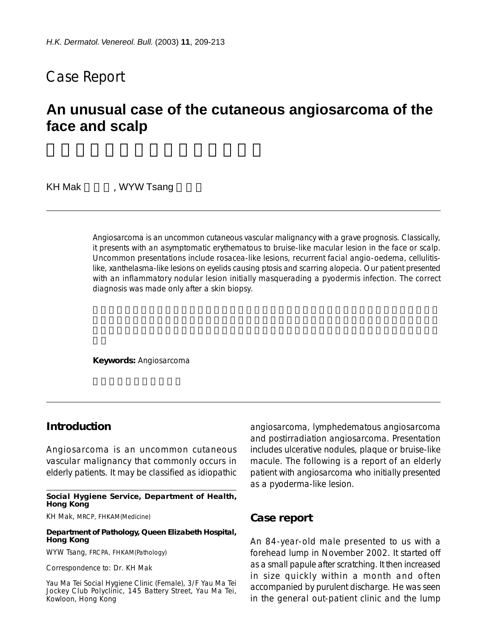# Case Report

# **An unusual case of the cutaneous angiosarcoma of the face and scalp**

KH Mak (WYW Tsang

Angiosarcoma is an uncommon cutaneous vascular malignancy with a grave prognosis. Classically, it presents with an asymptomatic erythematous to bruise-like macular lesion in the face or scalp. Uncommon presentations include rosacea-like lesions, recurrent facial angio-oedema, cellulitislike, xanthelasma-like lesions on eyelids causing ptosis and scarring alopecia. Our patient presented with an inflammatory nodular lesion initially masquerading a pyodermis infection. The correct diagnosis was made only after a skin biopsy.

**Keywords:** Angiosarcoma

## **Introduction**

Angiosarcoma is an uncommon cutaneous vascular malignancy that commonly occurs in elderly patients. It may be classified as idiopathic

**Social Hygiene Service, Department of Health, Hong Kong**

KH Mak, MRCP, FHKAM(Medicine)

#### **Department of Pathology, Queen Elizabeth Hospital, Hong Kong**

WYW Tsang, FRCPA, FHKAM(Pathology)

Correspondence to: Dr. KH Mak

Yau Ma Tei Social Hygiene Clinic (Female), 3/F Yau Ma Tei Jockey Club Polyclinic, 145 Battery Street, Yau Ma Tei, Kowloon, Hong Kong

angiosarcoma, lymphedematous angiosarcoma and postirradiation angiosarcoma. Presentation includes ulcerative nodules, plaque or bruise-like macule. The following is a report of an elderly patient with angiosarcoma who initially presented as a pyoderma-like lesion.

### **Case report**

An 84-year-old male presented to us with a forehead lump in November 2002. It started off as a small papule after scratching. It then increased in size quickly within a month and often accompanied by purulent discharge. He was seen in the general out-patient clinic and the lump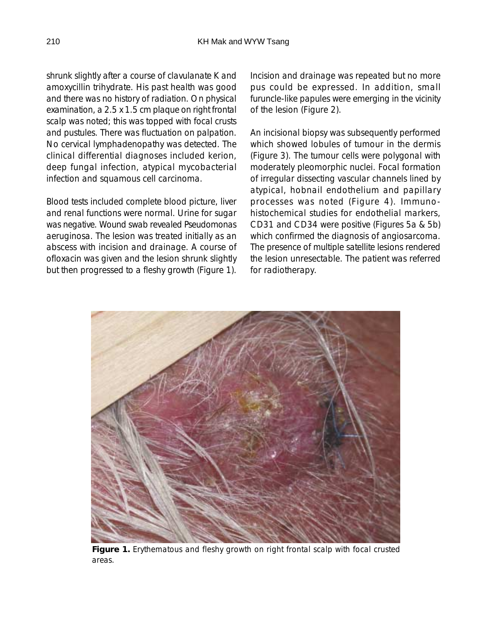shrunk slightly after a course of clavulanate K and amoxycillin trihydrate. His past health was good and there was no history of radiation. On physical examination, a 2.5 x 1.5 cm plaque on right frontal scalp was noted; this was topped with focal crusts and pustules. There was fluctuation on palpation. No cervical lymphadenopathy was detected. The clinical differential diagnoses included kerion, deep fungal infection, atypical mycobacterial infection and squamous cell carcinoma.

Blood tests included complete blood picture, liver and renal functions were normal. Urine for sugar was negative. Wound swab revealed Pseudomonas aeruginosa. The lesion was treated initially as an abscess with incision and drainage. A course of ofloxacin was given and the lesion shrunk slightly but then progressed to a fleshy growth (Figure 1). Incision and drainage was repeated but no more pus could be expressed. In addition, small furuncle-like papules were emerging in the vicinity of the lesion (Figure 2).

An incisional biopsy was subsequently performed which showed lobules of tumour in the dermis (Figure 3). The tumour cells were polygonal with moderately pleomorphic nuclei. Focal formation of irregular dissecting vascular channels lined by atypical, hobnail endothelium and papillary processes was noted (Figure 4). Immunohistochemical studies for endothelial markers, CD31 and CD34 were positive (Figures 5a & 5b) which confirmed the diagnosis of angiosarcoma. The presence of multiple satellite lesions rendered the lesion unresectable. The patient was referred for radiotherapy.



**Figure 1.** Erythematous and fleshy growth on right frontal scalp with focal crusted areas.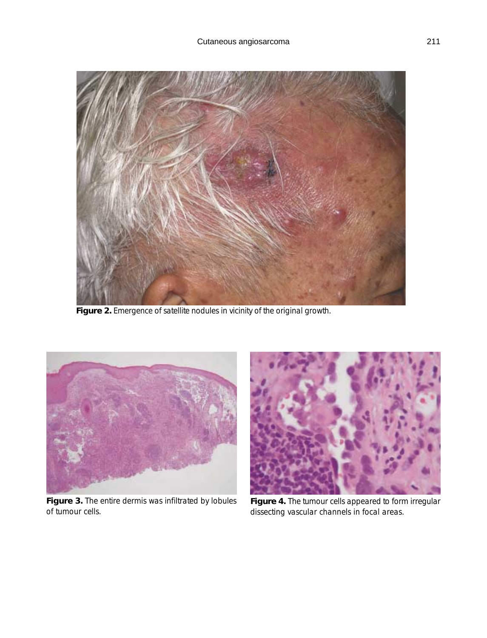

**Figure 2.** Emergence of satellite nodules in vicinity of the original growth.



**Figure 3.** The entire dermis was infiltrated by lobules of tumour cells.



**Figure 4.** The tumour cells appeared to form irregular dissecting vascular channels in focal areas.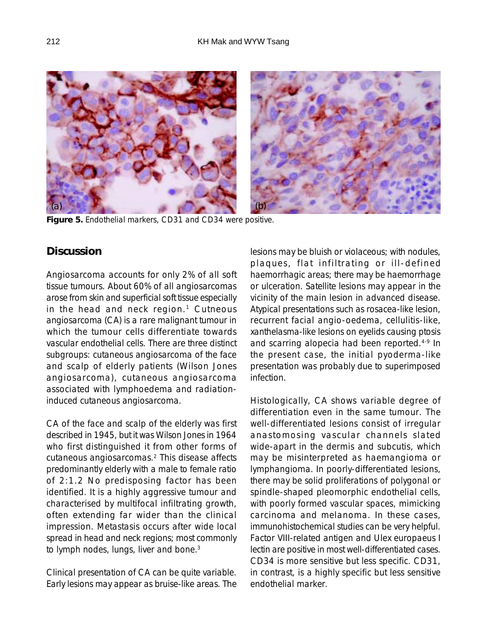

**Figure 5.** Endothelial markers, CD31 and CD34 were positive.

## **Discussion**

Angiosarcoma accounts for only 2% of all soft tissue tumours. About 60% of all angiosarcomas arose from skin and superficial soft tissue especially in the head and neck region.<sup>1</sup> Cutneous angiosarcoma (CA) is a rare malignant tumour in which the tumour cells differentiate towards vascular endothelial cells. There are three distinct subgroups: cutaneous angiosarcoma of the face and scalp of elderly patients (Wilson Jones angiosarcoma), cutaneous angiosarcoma associated with lymphoedema and radiationinduced cutaneous angiosarcoma.

CA of the face and scalp of the elderly was first described in 1945, but it was Wilson Jones in 1964 who first distinguished it from other forms of cutaneous angiosarcomas.2 This disease affects predominantly elderly with a male to female ratio of 2:1.2 No predisposing factor has been identified. It is a highly aggressive tumour and characterised by multifocal infiltrating growth, often extending far wider than the clinical impression. Metastasis occurs after wide local spread in head and neck regions; most commonly to lymph nodes, lungs, liver and bone.<sup>3</sup>

Clinical presentation of CA can be quite variable. Early lesions may appear as bruise-like areas. The lesions may be bluish or violaceous; with nodules, plaques, flat infiltrating or ill-defined haemorrhagic areas; there may be haemorrhage or ulceration. Satellite lesions may appear in the vicinity of the main lesion in advanced disease. Atypical presentations such as rosacea-like lesion, recurrent facial angio-oedema, cellulitis-like, xanthelasma-like lesions on eyelids causing ptosis and scarring alopecia had been reported.<sup>4-9</sup> In the present case, the initial pyoderma-like presentation was probably due to superimposed infection.

Histologically, CA shows variable degree of differentiation even in the same tumour. The well-differentiated lesions consist of irregular anastomosing vascular channels slated wide-apart in the dermis and subcutis, which may be misinterpreted as haemangioma or lymphangioma. In poorly-differentiated lesions, there may be solid proliferations of polygonal or spindle-shaped pleomorphic endothelial cells, with poorly formed vascular spaces, mimicking carcinoma and melanoma. In these cases, immunohistochemical studies can be very helpful. Factor VIII-related antigen and Ulex europaeus I lectin are positive in most well-differentiated cases. CD34 is more sensitive but less specific. CD31, in contrast, is a highly specific but less sensitive endothelial marker.